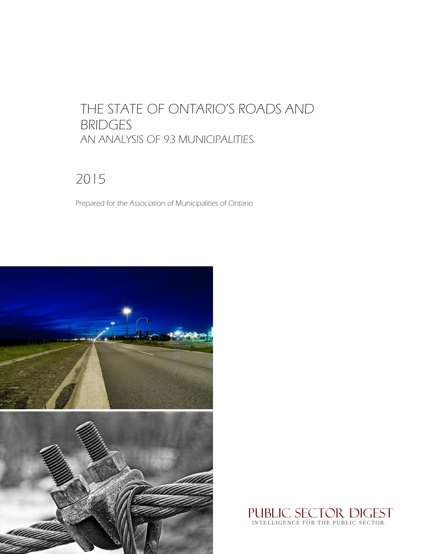# THE STATE OF ONTARIO'S ROADS AND BRIDGES AN ANALYSIS OF 93 MUNICIPALITIES

# 2015

Prepared for the Association of Municipalities of Ontario



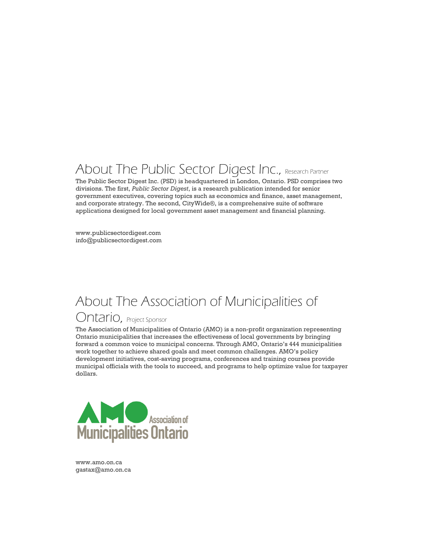# About The Public Sector Digest Inc., Research Partner

The Public Sector Digest Inc. (PSD) is headquartered in London, Ontario. PSD comprises two divisions. The first, *Public Sector Digest*, is a research publication intended for senior government executives, covering topics such as economics and finance, asset management, and corporate strategy. The second, CityWide®, is a comprehensive suite of software applications designed for local government asset management and financial planning.

www.publicsectordigest.com info@publicsectordigest.com

# About The Association of Municipalities of

## Ontario, Project Sponsor

The Association of Municipalities of Ontario (AMO) is a non-profit organization representing Ontario municipalities that increases the effectiveness of local governments by bringing forward a common voice to municipal concerns. Through AMO, Ontario's 444 municipalities work together to achieve shared goals and meet common challenges. AMO's policy development initiatives, cost-saving programs, conferences and training courses provide municipal officials with the tools to succeed, and programs to help optimize value for taxpayer dollars.



www.amo.on.ca gastax@amo.on.ca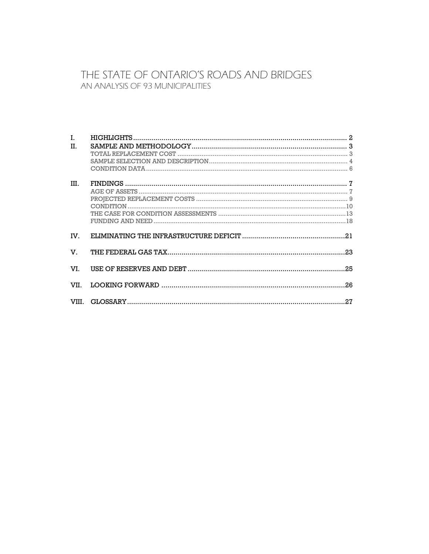### THE STATE OF ONTARIO'S ROADS AND BRIDGES AN ANALYSIS OF 93 MUNICIPALITIES

| L.<br>H. |  |
|----------|--|
|          |  |
|          |  |
|          |  |
| III.     |  |
|          |  |
|          |  |
|          |  |
|          |  |
|          |  |
| IV.      |  |
| V.       |  |
| VI.      |  |
|          |  |
|          |  |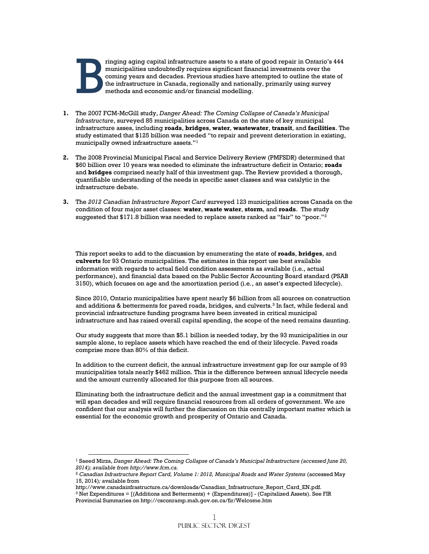

 $\overline{a}$ 

ringing aging capital infrastructure assets to a state of good repair in Ontario's 444 municipalities undoubtedly requires significant financial investments over the coming years and decades. Previous studies have attempted to outline the state of the infrastructure in Canada, regionally and nationally, primarily using survey methods and economic and/or financial modelling.

- **1.** The 2007 FCM-McGill study, *Danger Ahead: The Coming Collapse of Canada's Municipal Infrastructure*, surveyed 85 municipalities across Canada on the state of key municipal infrastructure asses, including **roads**, **bridges**, **water**, **wastewater**, **transit**, and **facilities**. The study estimated that \$125 billion was needed "to repair and prevent deterioration in existing, municipally owned infrastructure assets."<sup>1</sup>
- **2.** The 2008 Provincial Municipal Fiscal and Service Delivery Review (PMFSDR) determined that \$60 billion over 10 years was needed to eliminate the infrastructure deficit in Ontario; **roads** and **bridges** comprised nearly half of this investment gap. The Review provided a thorough, quantifiable understanding of the needs in specific asset classes and was catalytic in the infrastructure debate.
- **3.** The *2012 Canadian Infrastructure Report Card* surveyed 123 municipalities across Canada on the condition of four major asset classes: **water**, **waste water**, **storm**, and **roads**. The study suggested that  $$171.8$  billion was needed to replace assets ranked as "fair" to "poor."<sup>2</sup>

This report seeks to add to the discussion by enumerating the state of **roads**, **bridges**, and **culverts** for 93 Ontario municipalities. The estimates in this report use best available information with regards to actual field condition assessments as available (i.e., actual performance), and financial data based on the Public Sector Accounting Board standard (PSAB 3150), which focuses on age and the amortization period (i.e., an asset's expected lifecycle).

Since 2010, Ontario municipalities have spent nearly \$6 billion from all sources on construction and additions & betterments for paved roads, bridges, and culverts.<sup>3</sup> In fact, while federal and provincial infrastructure funding programs have been invested in critical municipal infrastructure and has raised overall capital spending, the scope of the need remains daunting.

Our study suggests that more than \$5.1 billion is needed today, by the 93 municipalities in our sample alone, to replace assets which have reached the end of their lifecycle. Paved roads comprise more than 80% of this deficit.

In addition to the current deficit, the annual infrastructure investment gap for our sample of 93 municipalities totals nearly \$462 million. This is the difference between annual lifecycle needs and the amount currently allocated for this purpose from all sources.

Eliminating both the infrastructure deficit and the annual investment gap is a commitment that will span decades and will require financial resources from all orders of government. We are confident that our analysis will further the discussion on this centrally important matter which is essential for the economic growth and prosperity of Ontario and Canada.

<sup>1</sup> Saeed Mirza, *Danger Ahead: The Coming Collapse of Canada's Municipal Infrastructure (accessed June 20, 2014); available from http://www.fcm.ca.*

<sup>&</sup>lt;sup>2</sup> Canadian Infrastructure Report Card, Volume 1: 2012, Municipal Roads and Water Systems (accessed May 15, 2014)*;* available from

http://www.canadainfrastructure.ca/downloads/Canadian\_Infrastructure\_Report\_Card\_EN.pdf.

<sup>3</sup> Net Expenditures = [(Additions and Betterments) + (Expenditures)] - (Capitalized Assets). See FIR Provincial Summaries on http://csconramp.mah.gov.on.ca/fir/Welcome.htm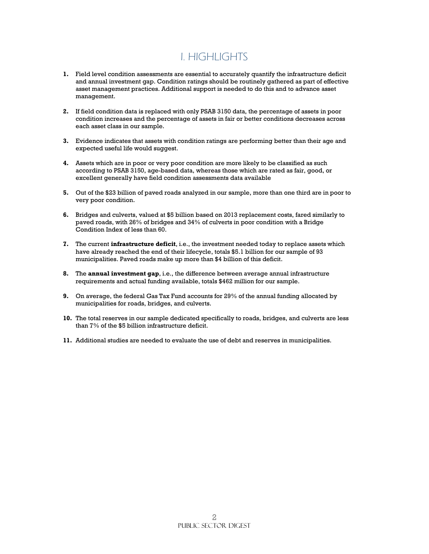## I. HIGHLIGHTS

- **1.** Field level condition assessments are essential to accurately quantify the infrastructure deficit and annual investment gap. Condition ratings should be routinely gathered as part of effective asset management practices. Additional support is needed to do this and to advance asset management.
- **2.** If field condition data is replaced with only PSAB 3150 data, the percentage of assets in poor condition increases and the percentage of assets in fair or better conditions decreases across each asset class in our sample.
- **3.** Evidence indicates that assets with condition ratings are performing better than their age and expected useful life would suggest.
- **4.** Assets which are in poor or very poor condition are more likely to be classified as such according to PSAB 3150, age-based data, whereas those which are rated as fair, good, or excellent generally have field condition assessments data available
- **5.** Out of the \$23 billion of paved roads analyzed in our sample, more than one third are in poor to very poor condition.
- **6.** Bridges and culverts, valued at \$5 billion based on 2013 replacement costs, fared similarly to paved roads, with 26% of bridges and 34% of culverts in poor condition with a Bridge Condition Index of less than 60.
- **7.** The current **infrastructure deficit**, i.e., the investment needed today to replace assets which have already reached the end of their lifecycle, totals \$5.1 billion for our sample of 93 municipalities. Paved roads make up more than \$4 billion of this deficit.
- **8.** The **annual investment gap**, i.e., the difference between average annual infrastructure requirements and actual funding available, totals \$462 million for our sample.
- **9.** On average, the federal Gas Tax Fund accounts for 29% of the annual funding allocated by municipalities for roads, bridges, and culverts.
- **10.** The total reserves in our sample dedicated specifically to roads, bridges, and culverts are less than 7% of the \$5 billion infrastructure deficit.
- **11.** Additional studies are needed to evaluate the use of debt and reserves in municipalities.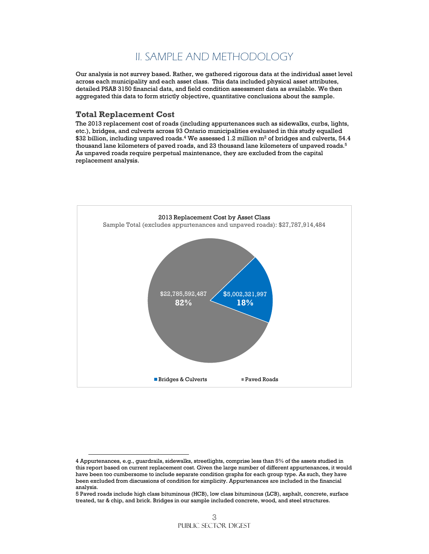### II. SAMPLE AND METHODOLOGY

Our analysis is not survey based. Rather, we gathered rigorous data at the individual asset level across each municipality and each asset class. This data included physical asset attributes, detailed PSAB 3150 financial data, and field condition assessment data as available. We then aggregated this data to form strictly objective, quantitative conclusions about the sample.

#### **Total Replacement Cost**

 $\overline{a}$ 

The 2013 replacement cost of roads (including appurtenances such as sidewalks, curbs, lights, etc.), bridges, and culverts across 93 Ontario municipalities evaluated in this study equalled  $\$32$  billion, including unpaved roads. $^4$  We assessed  $1.2$  million m $^2$  of bridges and culverts,  $54.4$ thousand lane kilometers of paved roads, and 23 thousand lane kilometers of unpaved roads. $^{\rm 5}$ As unpaved roads require perpetual maintenance, they are excluded from the capital replacement analysis.



<sup>4</sup> Appurtenances, e.g., guardrails, sidewalks, streetlights, comprise less than 5% of the assets studied in this report based on current replacement cost. Given the large number of different appurtenances, it would have been too cumbersome to include separate condition graphs for each group type. As such, they have been excluded from discussions of condition for simplicity. Appurtenances are included in the financial analysis.

<sup>5</sup> Paved roads include high class bituminous (HCB), low class bituminous (LCB), asphalt, concrete, surface treated, tar & chip, and brick. Bridges in our sample included concrete, wood, and steel structures.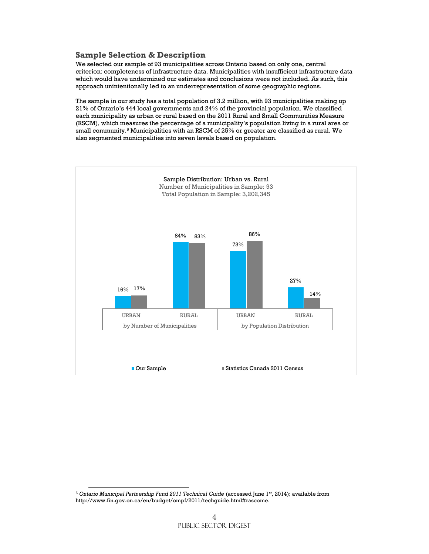#### **Sample Selection & Description**

We selected our sample of 93 municipalities across Ontario based on only one, central criterion: completeness of infrastructure data. Municipalities with insufficient infrastructure data which would have undermined our estimates and conclusions were not included. As such, this approach unintentionally led to an underrepresentation of some geographic regions.

The sample in our study has a total population of 3.2 million, with 93 municipalities making up 21% of Ontario's 444 local governments and 24% of the provincial population. We classified each municipality as urban or rural based on the 2011 Rural and Small Communities Measure (RSCM), which measures the percentage of a municipality's population living in a rural area or small community.<sup>6</sup> Municipalities with an RSCM of 25% or greater are classified as rural. We also segmented municipalities into seven levels based on population.



 $\overline{a}$ 

<sup>6</sup> *Ontario Municipal Partnership Fund 2011 Technical Guide* (accessed June 1st, 2014); available from http://www.fin.gov.on.ca/en/budget/ompf/2011/techguide.html#rascome.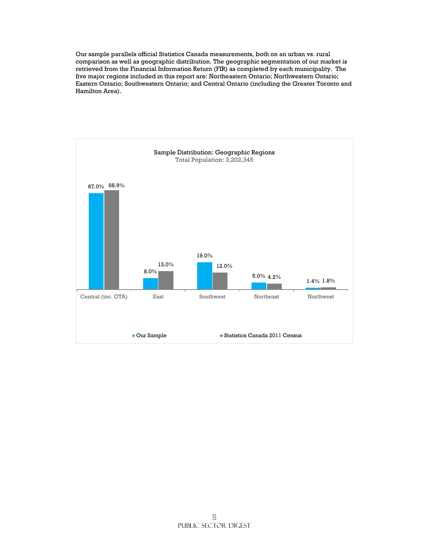Our sample parallels official Statistics Canada measurements, both on an urban vs. rural comparison as well as geographic distribution. The geographic segmentation of our market is retrieved from the Financial Information Return (FIR) as completed by each municipality. The five major regions included in this report are: Northeastern Ontario; Northwestern Ontario; Eastern Ontario; Southwestern Ontario; and Central Ontario (including the Greater Toronto and Hamilton Area).

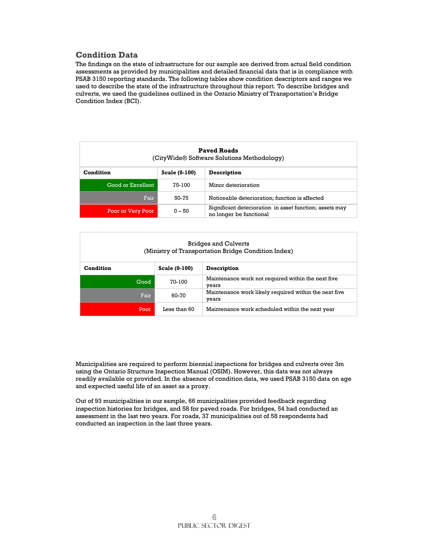#### **Condition Data**

The findings on the state of infrastructure for our sample are derived from actual field condition assessments as provided by municipalities and detailed financial data that is in compliance with PSAB 3150 reporting standards. The following tables show condition descriptors and ranges we used to describe the state of the infrastructure throughout this report. To describe bridges and culverts, we used the guidelines outlined in the Ontario Ministry of Transportation's Bridge Condition Index (BCI).

| <b>Paved Roads</b><br>(CityWide® Software Solutions Methodology) |               |                                                                                    |  |  |  |
|------------------------------------------------------------------|---------------|------------------------------------------------------------------------------------|--|--|--|
| Condition                                                        | Scale (0-100) | Description                                                                        |  |  |  |
| Good or Excellent                                                | 75-100        | Minor deterioration                                                                |  |  |  |
| Fair                                                             | 50-75         | Noticeable deterioration; function is affected                                     |  |  |  |
| Poor or Very Poor                                                | $0 - 50$      | Significant deterioration in asset function; assets may<br>no longer be functional |  |  |  |

#### Bridges and Culverts (Ministry of Transportation Bridge Condition Index)

| Condition | Scale (0-100) | Description                                                    |  |  |
|-----------|---------------|----------------------------------------------------------------|--|--|
| Good      | 70-100        | Maintenance work not required within the next five<br>vears    |  |  |
| Fair      | 60-70         | Maintenance work likely required within the next five<br>years |  |  |
| Poor      | Less than 60  | Maintenance work scheduled within the next year                |  |  |

Municipalities are required to perform biennial inspections for bridges and culverts over 3m using the Ontario Structure Inspection Manual (OSIM). However, this data was not always readily available or provided. In the absence of condition data, we used PSAB 3150 data on age and expected useful life of an asset as a proxy.

Out of 93 municipalities in our sample, 66 municipalities provided feedback regarding inspection histories for bridges, and 58 for paved roads. For bridges, 54 had conducted an assessment in the last two years. For roads, 37 municipalities out of 58 respondents had conducted an inspection in the last three years.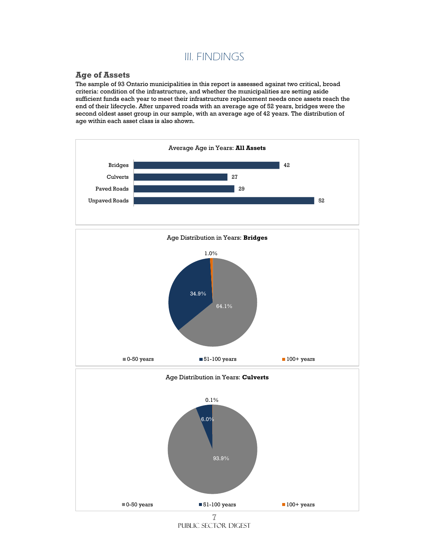## III. FINDINGS

#### **Age of Assets**

The sample of 93 Ontario municipalities in this report is assessed against two critical, broad criteria: condition of the infrastructure, and whether the municipalities are setting aside sufficient funds each year to meet their infrastructure replacement needs once assets reach the end of their lifecycle. After unpaved roads with an average age of 52 years, bridges were the second oldest asset group in our sample, with an average age of 42 years. The distribution of age within each asset class is also shown.



Public sector digest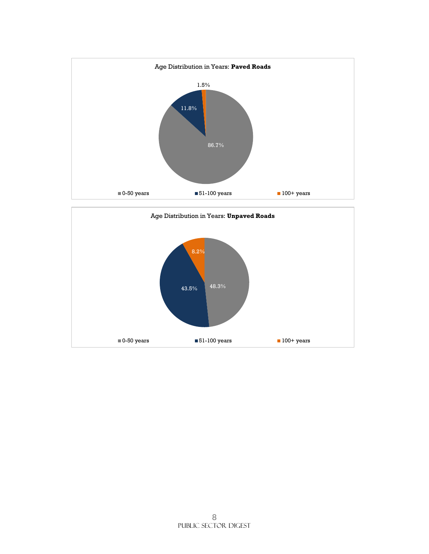

 $\blacksquare$  0-50 years  $\blacksquare$  51-100 years  $\blacksquare$  100+ years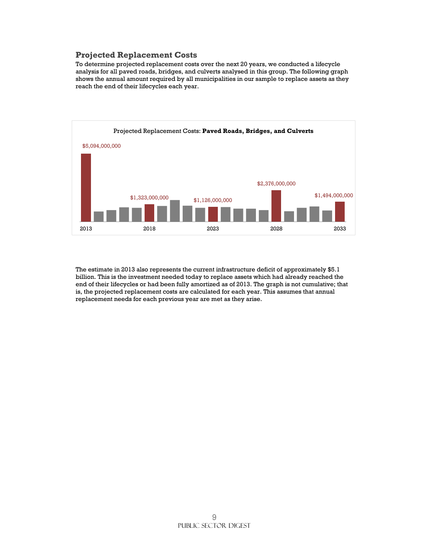#### **Projected Replacement Costs**

To determine projected replacement costs over the next 20 years, we conducted a lifecycle analysis for all paved roads, bridges, and culverts analysed in this group. The following graph shows the annual amount required by all municipalities in our sample to replace assets as they reach the end of their lifecycles each year.



The estimate in 2013 also represents the current infrastructure deficit of approximately \$5.1 billion. This is the investment needed today to replace assets which had already reached the end of their lifecycles or had been fully amortized as of 2013. The graph is not cumulative; that is, the projected replacement costs are calculated for each year. This assumes that annual replacement needs for each previous year are met as they arise.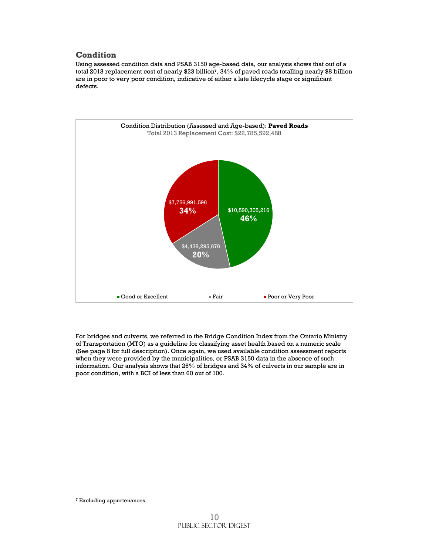#### **Condition**

Using assessed condition data and PSAB 3150 age-based data, our analysis shows that out of a total 2013 replacement cost of nearly \$23 billion $^7\!$ , 34% of paved roads totalling nearly \$8 billion are in poor to very poor condition, indicative of either a late lifecycle stage or significant defects.



For bridges and culverts, we referred to the Bridge Condition Index from the Ontario Ministry of Transportation (MTO) as a guideline for classifying asset health based on a numeric scale (See page 8 for full description). Once again, we used available condition assessment reports when they were provided by the municipalities, or PSAB 3150 data in the absence of such information. Our analysis shows that 26% of bridges and 34% of culverts in our sample are in poor condition, with a BCI of less than 60 out of 100.

 $\overline{a}$ 

<sup>7</sup> Excluding appurtenances.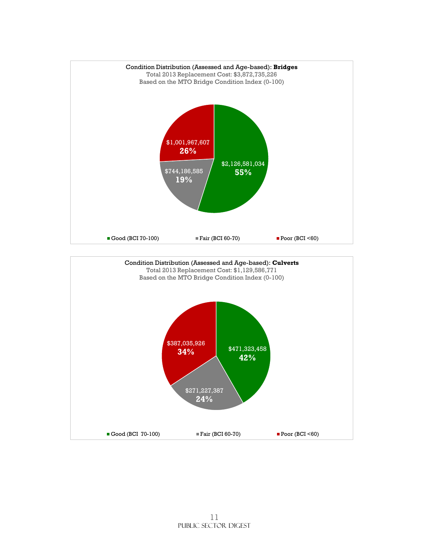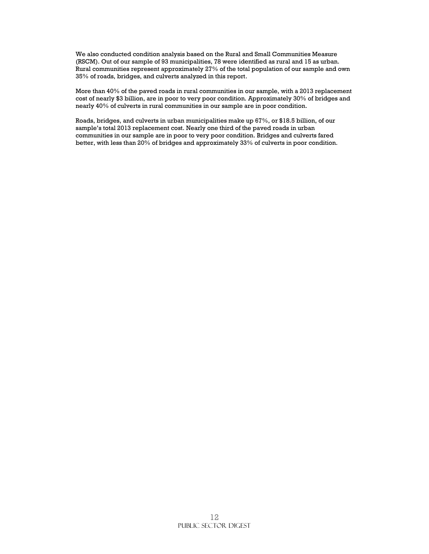We also conducted condition analysis based on the Rural and Small Communities Measure (RSCM). Out of our sample of 93 municipalities, 78 were identified as rural and 15 as urban. Rural communities represent approximately 27% of the total population of our sample and own 35% of roads, bridges, and culverts analyzed in this report.

More than 40% of the paved roads in rural communities in our sample, with a 2013 replacement cost of nearly \$3 billion, are in poor to very poor condition. Approximately 30% of bridges and nearly 40% of culverts in rural communities in our sample are in poor condition.

Roads, bridges, and culverts in urban municipalities make up 67%, or \$18.5 billion, of our sample's total 2013 replacement cost. Nearly one third of the paved roads in urban communities in our sample are in poor to very poor condition. Bridges and culverts fared better, with less than 20% of bridges and approximately 33% of culverts in poor condition.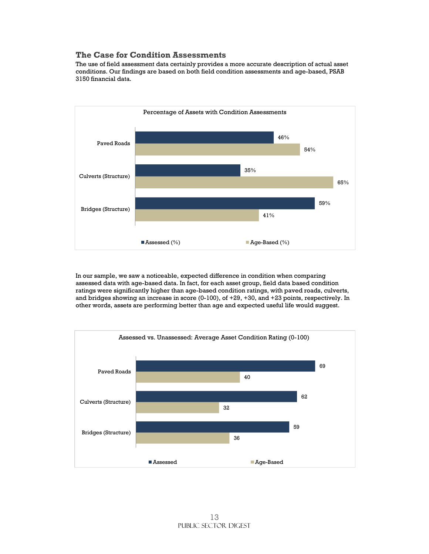#### **The Case for Condition Assessments**

The use of field assessment data certainly provides a more accurate description of actual asset conditions. Our findings are based on both field condition assessments and age-based, PSAB 3150 financial data.



In our sample, we saw a noticeable, expected difference in condition when comparing assessed data with age-based data. In fact, for each asset group, field data based condition ratings were significantly higher than age-based condition ratings, with paved roads, culverts, and bridges showing an increase in score (0-100), of +29, +30, and +23 points, respectively. In other words, assets are performing better than age and expected useful life would suggest.

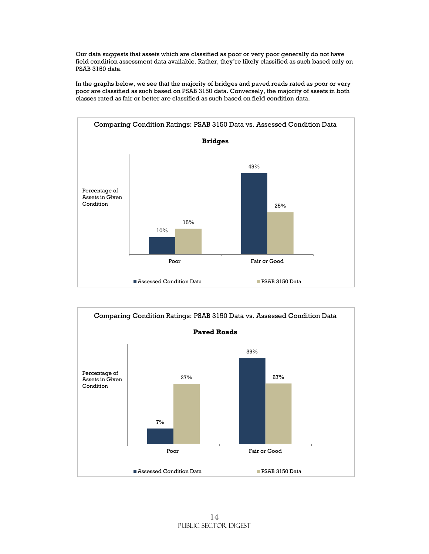Our data suggests that assets which are classified as poor or very poor generally do not have field condition assessment data available. Rather, they're likely classified as such based only on PSAB 3150 data.

In the graphs below, we see that the majority of bridges and paved roads rated as poor or very poor are classified as such based on PSAB 3150 data. Conversely, the majority of assets in both classes rated as fair or better are classified as such based on field condition data.



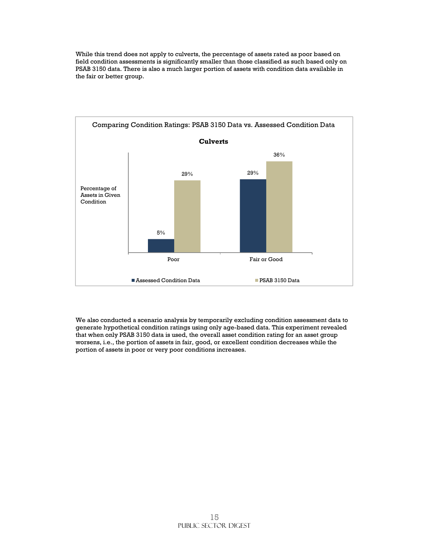While this trend does not apply to culverts, the percentage of assets rated as poor based on field condition assessments is significantly smaller than those classified as such based only on PSAB 3150 data. There is also a much larger portion of assets with condition data available in the fair or better group.



We also conducted a scenario analysis by temporarily excluding condition assessment data to generate hypothetical condition ratings using only age-based data. This experiment revealed that when only PSAB 3150 data is used, the overall asset condition rating for an asset group worsens, i.e., the portion of assets in fair, good, or excellent condition decreases while the portion of assets in poor or very poor conditions increases.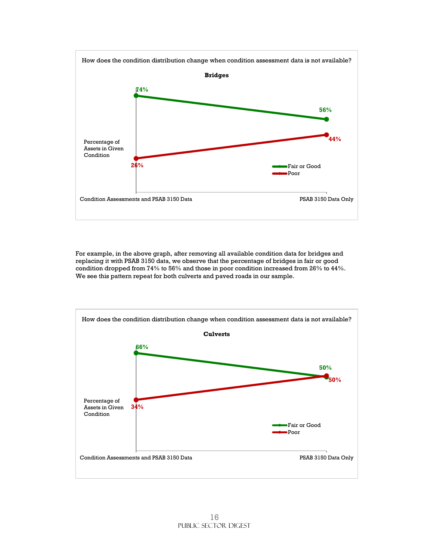

For example, in the above graph, after removing all available condition data for bridges and replacing it with PSAB 3150 data, we observe that the percentage of bridges in fair or good condition dropped from 74% to 56% and those in poor condition increased from 26% to 44%. We see this pattern repeat for both culverts and paved roads in our sample.

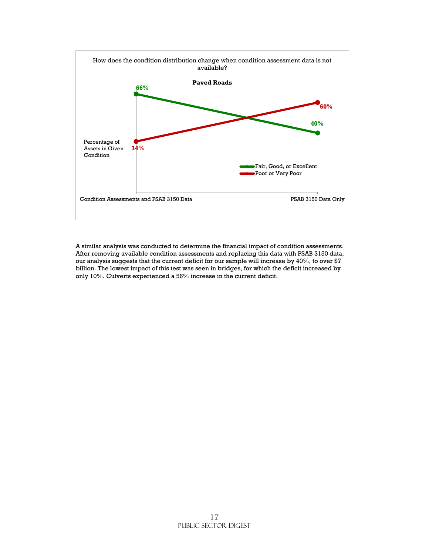

A similar analysis was conducted to determine the financial impact of condition assessments. After removing available condition assessments and replacing this data with PSAB 3150 data, our analysis suggests that the current deficit for our sample will increase by 40%, to over \$7 billion. The lowest impact of this test was seen in bridges, for which the deficit increased by only 10%. Culverts experienced a 56% increase in the current deficit.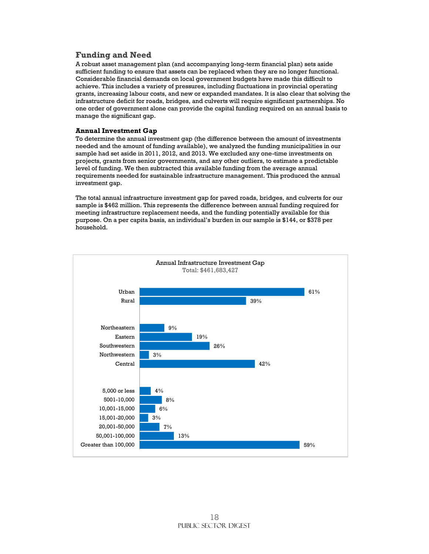#### **Funding and Need**

A robust asset management plan (and accompanying long-term financial plan) sets aside sufficient funding to ensure that assets can be replaced when they are no longer functional. Considerable financial demands on local government budgets have made this difficult to achieve. This includes a variety of pressures, including fluctuations in provincial operating grants, increasing labour costs, and new or expanded mandates. It is also clear that solving the infrastructure deficit for roads, bridges, and culverts will require significant partnerships. No one order of government alone can provide the capital funding required on an annual basis to manage the significant gap.

#### **Annual Investment Gap**

To determine the annual investment gap (the difference between the amount of investments needed and the amount of funding available), we analyzed the funding municipalities in our sample had set aside in 2011, 2012, and 2013. We excluded any one-time investments on projects, grants from senior governments, and any other outliers, to estimate a predictable level of funding. We then subtracted this available funding from the average annual requirements needed for sustainable infrastructure management. This produced the annual investment gap.

The total annual infrastructure investment gap for paved roads, bridges, and culverts for our sample is \$462 million. This represents the difference between annual funding required for meeting infrastructure replacement needs, and the funding potentially available for this purpose. On a per capita basis, an individual's burden in our sample is \$144, or \$378 per household.

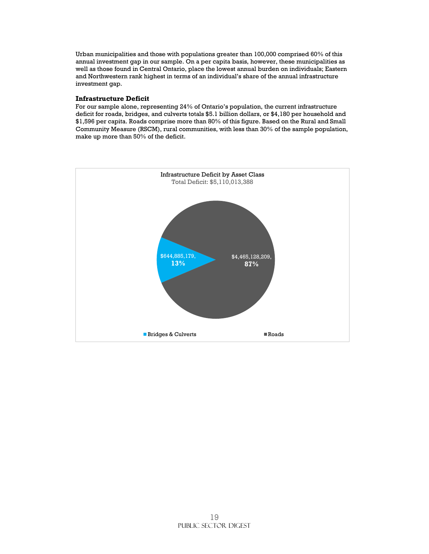Urban municipalities and those with populations greater than 100,000 comprised 60% of this annual investment gap in our sample. On a per capita basis, however, these municipalities as well as those found in Central Ontario, place the lowest annual burden on individuals; Eastern and Northwestern rank highest in terms of an individual's share of the annual infrastructure investment gap.

#### **Infrastructure Deficit**

For our sample alone, representing 24% of Ontario's population, the current infrastructure deficit for roads, bridges, and culverts totals \$5.1 billion dollars, or \$4,180 per household and \$1,596 per capita. Roads comprise more than 80% of this figure. Based on the Rural and Small Community Measure (RSCM), rural communities, with less than 30% of the sample population, make up more than 50% of the deficit.

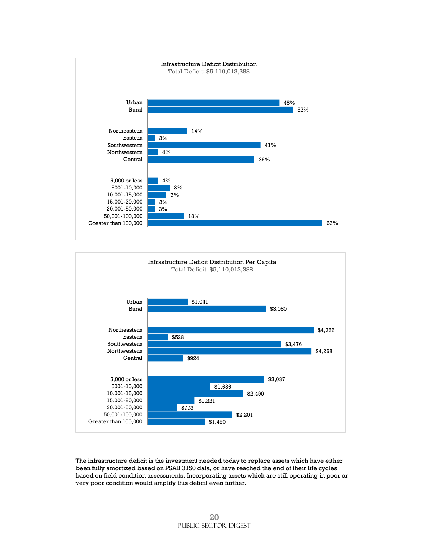



The infrastructure deficit is the investment needed today to replace assets which have either been fully amortized based on PSAB 3150 data, or have reached the end of their life cycles based on field condition assessments. Incorporating assets which are still operating in poor or very poor condition would amplify this deficit even further.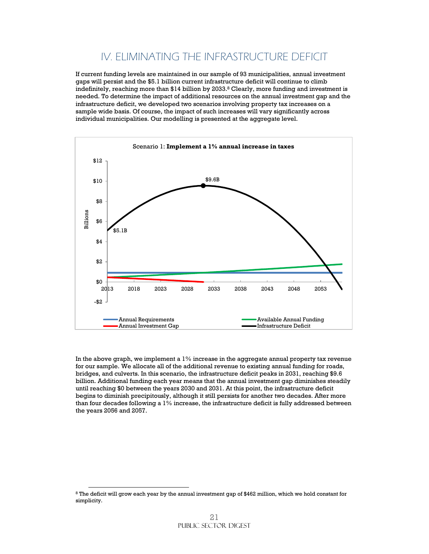## IV. ELIMINATING THE INFRASTRUCTURE DEFICIT

If current funding levels are maintained in our sample of 93 municipalities, annual investment gaps will persist and the \$5.1 billion current infrastructure deficit will continue to climb indefinitely, reaching more than  $$14$  billion by 2033.<sup>8</sup> Clearly, more funding and investment is needed. To determine the impact of additional resources on the annual investment gap and the infrastructure deficit, we developed two scenarios involving property tax increases on a sample wide basis. Of course, the impact of such increases will vary significantly across individual municipalities. Our modelling is presented at the aggregate level.



In the above graph, we implement a  $1\%$  increase in the aggregate annual property tax revenue for our sample. We allocate all of the additional revenue to existing annual funding for roads, bridges, and culverts. In this scenario, the infrastructure deficit peaks in 2031, reaching \$9.6 billion. Additional funding each year means that the annual investment gap diminishes steadily until reaching \$0 between the years 2030 and 2031. At this point, the infrastructure deficit begins to diminish precipitously, although it still persists for another two decades. After more than four decades following a 1% increase, the infrastructure deficit is fully addressed between the years 2056 and 2057.

 $\overline{a}$ 

<sup>8</sup> The deficit will grow each year by the annual investment gap of \$462 million, which we hold constant for simplicity.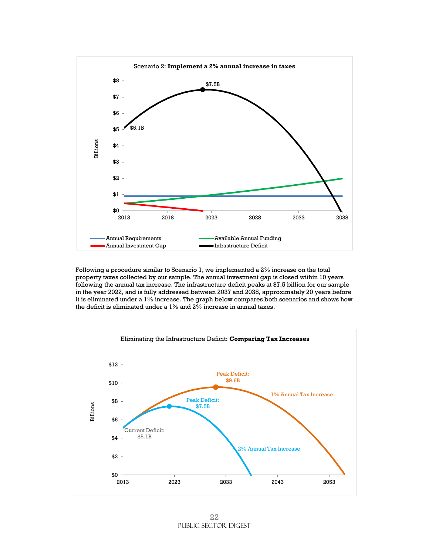

Following a procedure similar to Scenario 1, we implemented a 2% increase on the total property taxes collected by our sample. The annual investment gap is closed within 10 years following the annual tax increase. The infrastructure deficit peaks at \$7.5 billion for our sample in the year 2022, and is fully addressed between 2037 and 2038, approximately 20 years before it is eliminated under a 1% increase. The graph below compares both scenarios and shows how the deficit is eliminated under a 1% and 2% increase in annual taxes.

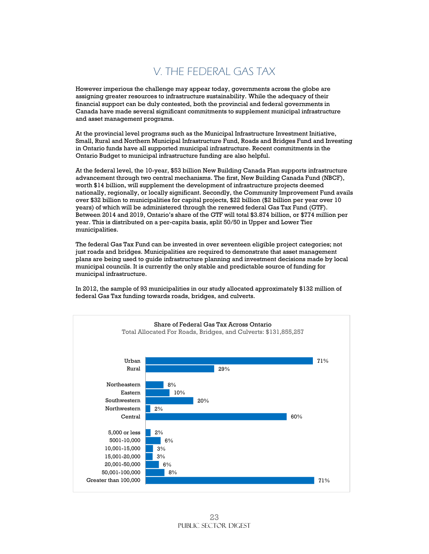## V. THE FEDERAL GAS TAX

However imperious the challenge may appear today, governments across the globe are assigning greater resources to infrastructure sustainability. While the adequacy of their financial support can be duly contested, both the provincial and federal governments in Canada have made several significant commitments to supplement municipal infrastructure and asset management programs.

At the provincial level programs such as the Municipal Infrastructure Investment Initiative, Small, Rural and Northern Municipal Infrastructure Fund, Roads and Bridges Fund and Investing in Ontario funds have all supported municipal infrastructure. Recent commitments in the Ontario Budget to municipal infrastructure funding are also helpful.

At the federal level, the 10-year, \$53 billion New Building Canada Plan supports infrastructure advancement through two central mechanisms. The first, New Building Canada Fund (NBCF), worth \$14 billion, will supplement the development of infrastructure projects deemed nationally, regionally, or locally significant. Secondly, the Community Improvement Fund avails over \$32 billion to municipalities for capital projects, \$22 billion (\$2 billion per year over 10 years) of which will be administered through the renewed federal Gas Tax Fund (GTF). Between 2014 and 2019, Ontario's share of the GTF will total \$3.874 billion, or \$774 million per year. This is distributed on a per-capita basis, split 50/50 in Upper and Lower Tier municipalities.

The federal Gas Tax Fund can be invested in over seventeen eligible project categories; not just roads and bridges. Municipalities are required to demonstrate that asset management plans are being used to guide infrastructure planning and investment decisions made by local municipal councils. It is currently the only stable and predictable source of funding for municipal infrastructure.

In 2012, the sample of 93 municipalities in our study allocated approximately \$132 million of federal Gas Tax funding towards roads, bridges, and culverts.

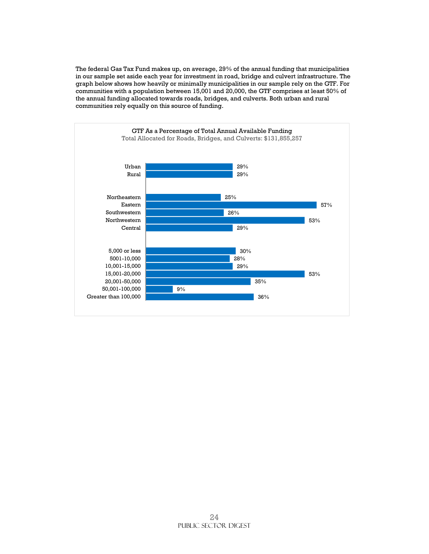The federal Gas Tax Fund makes up, on average, 29% of the annual funding that municipalities in our sample set aside each year for investment in road, bridge and culvert infrastructure. The graph below shows how heavily or minimally municipalities in our sample rely on the GTF. For communities with a population between 15,001 and 20,000, the GTF comprises at least 50% of the annual funding allocated towards roads, bridges, and culverts. Both urban and rural communities rely equally on this source of funding.

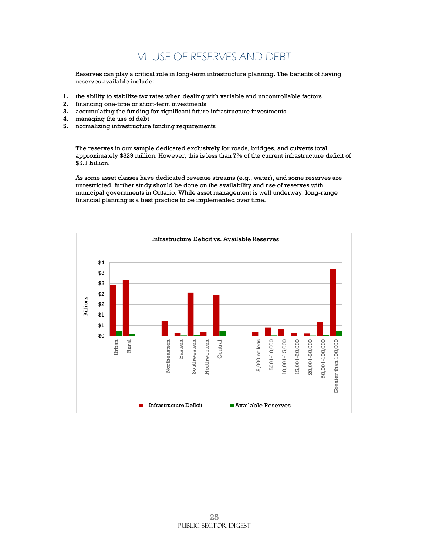## VI. USE OF RESERVES AND DEBT

Reserves can play a critical role in long-term infrastructure planning. The benefits of having reserves available include:

- **1.** the ability to stabilize tax rates when dealing with variable and uncontrollable factors
- **2.** financing one-time or short-term investments
- **3.** accumulating the funding for significant future infrastructure investments
- **4.** managing the use of debt
- **5.** normalizing infrastructure funding requirements

The reserves in our sample dedicated exclusively for roads, bridges, and culverts total approximately \$329 million. However, this is less than 7% of the current infrastructure deficit of \$5.1 billion.

As some asset classes have dedicated revenue streams (e.g., water), and some reserves are unrestricted, further study should be done on the availability and use of reserves with municipal governments in Ontario. While asset management is well underway, long-range financial planning is a best practice to be implemented over time.

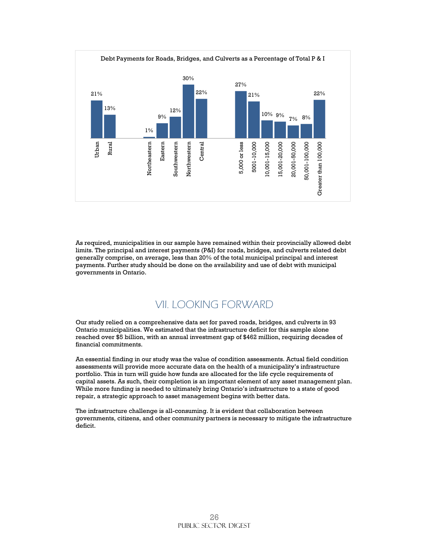

As required, municipalities in our sample have remained within their provincially allowed debt limits. The principal and interest payments (P&I) for roads, bridges, and culverts related debt generally comprise, on average, less than 20% of the total municipal principal and interest payments. Further study should be done on the availability and use of debt with municipal governments in Ontario.

### VII. LOOKING FORWARD

Our study relied on a comprehensive data set for paved roads, bridges, and culverts in 93 Ontario municipalities. We estimated that the infrastructure deficit for this sample alone reached over \$5 billion, with an annual investment gap of \$462 million, requiring decades of financial commitments.

An essential finding in our study was the value of condition assessments. Actual field condition assessments will provide more accurate data on the health of a municipality's infrastructure portfolio. This in turn will guide how funds are allocated for the life cycle requirements of capital assets. As such, their completion is an important element of any asset management plan. While more funding is needed to ultimately bring Ontario's infrastructure to a state of good repair, a strategic approach to asset management begins with better data.

The infrastructure challenge is all-consuming. It is evident that collaboration between governments, citizens, and other community partners is necessary to mitigate the infrastructure deficit.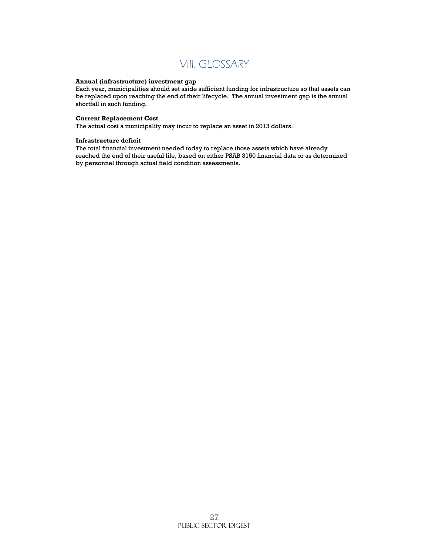

#### **Annual (infrastructure) investment gap**

Each year, municipalities should set aside sufficient funding for infrastructure so that assets can be replaced upon reaching the end of their lifecycle. The annual investment gap is the annual shortfall in such funding.

#### **Current Replacement Cost**

The actual cost a municipality may incur to replace an asset in 2013 dollars.

#### **Infrastructure deficit**

The total financial investment needed today to replace those assets which have already reached the end of their useful life, based on either PSAB 3150 financial data or as determined by personnel through actual field condition assessments.